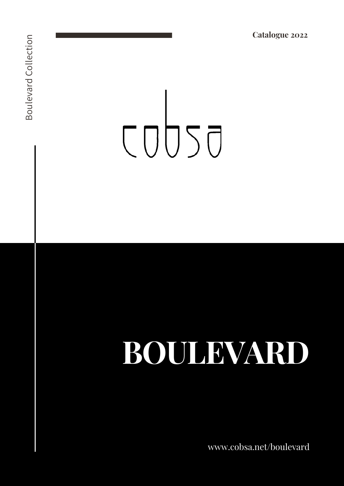# COUSO

## BOULEVARD

www.cobsa.net/boulevard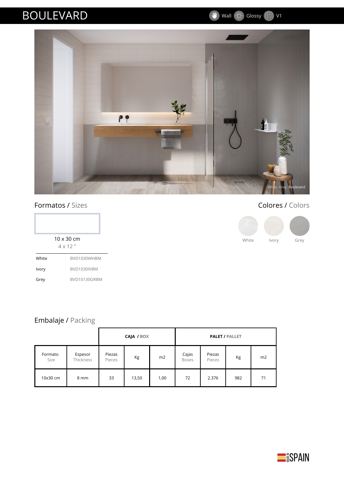#### BOULEVARD

Wall C: Glossy V1

 $\mathbf{w}$ 



#### Formatos / Sizes

|       | $10 \times 30$ cm<br>$4 \times 12$ " |
|-------|--------------------------------------|
| White | BVD1030WHBM                          |

BVD1030IVBM BVD10130GRBM

Ivory Grey



#### Embalaje / Packing

|                 |                      | CAJA / BOX       |       |      | <b>PALET / PALLET</b> |                  |     |    |
|-----------------|----------------------|------------------|-------|------|-----------------------|------------------|-----|----|
| Formato<br>Size | Espesor<br>Thickness | Piezas<br>Pieces | Кg    | m2   | Cajas<br>Boxes        | Piezas<br>Pieces | Kg  | m2 |
| 10x30 cm        | 8 mm                 | 33               | 13,50 | 1,00 | 72                    | 2.376            | 982 | 71 |

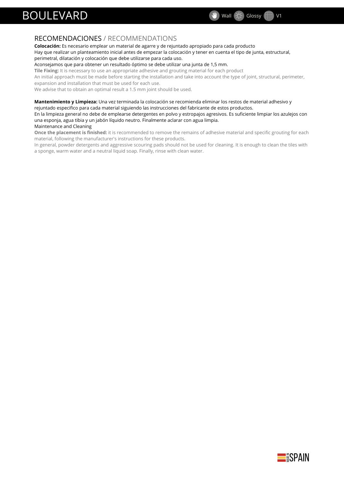#### BOULEVARD

#### Wall  $\overrightarrow{C}$  Glossy V1

#### RECOMENDACIONES / RECOMMENDATIONS

#### **Colocación:** Es necesario emplear un material de agarre y de rejuntado apropiado para cada producto

Hay que realizar un planteamiento inicial antes de empezar la colocación y tener en cuenta el tipo de junta, estructural, perimetral, dilatación y colocación que debe utilizarse para cada uso.

Aconsejamos que para obtener un resultado óptimo se debe utilizar una junta de 1,5 mm.

**Tile Fixing:** It is necessary to use an appropriate adhesive and grouting material for each product

An initial approach must be made before starting the installation and take into account the type of joint, structural, perimeter,

expansion and installation that must be used for each use.

We advise that to obtain an optimal result a 1.5 mm joint should be used.

**Mantenimiento y Limpieza:** Una vez terminada la colocación se recomienda eliminar los restos de material adhesivo y rejuntado especifico para cada material siguiendo las instrucciones del fabricante de estos productos.

En la limpieza general no debe de emplearse detergentes en polvo y estropajos agresivos. Es suficiente limpiar los azulejos con una esponja, agua tibia y un jabón líquido neutro. Finalmente aclarar con agua limpia. Maintenance and Cleaning

**Once the placement is finished:** it is recommended to remove the remains of adhesive material and specific grouting for each material, following the manufacturer's instructions for these products.

In general, powder detergents and aggressive scouring pads should not be used for cleaning. It is enough to clean the tiles with a sponge, warm water and a neutral liquid soap. Finally, rinse with clean water.